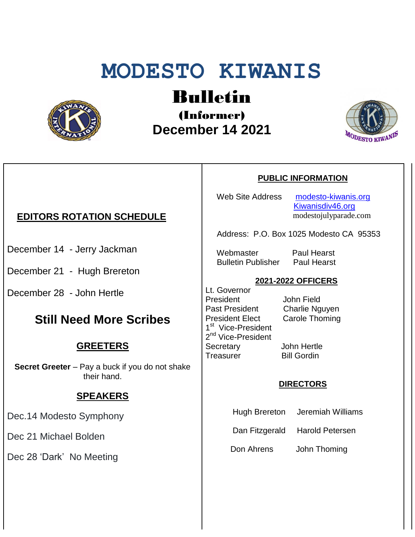# **MODESTO KIWANIS**



# Bulletin

(Informer)  **December 14 2021**



# **EDITORS ROTATION SCHEDULE**

- December 14 Jerry Jackman
- December 21 Hugh Brereton
- December 28 John Hertle

# **Still Need More Scribes**

## **GREETERS**

**Secret Greeter** – Pay a buck if you do not shake their hand.

## **SPEAKERS**

Dec.14 Modesto Symphony

Dec 21 Michael Bolden

Dec 28 'Dark' No Meeting

#### **PUBLIC INFORMATION**

Web Site Address [modesto-kiwanis.org](http://modesto-kiwanis.org/) [Kiwanisdiv46.org](http://www.kiwanisdiv46.org/) modestojulyparade.com

Address: P.O. Box 1025 Modesto CA 95353

 Webmaster Paul Hearst Bulletin Publisher Paul Hearst

#### **2021-2022 OFFICERS**

Lt. Governor President John Field Past President Charlie Nguyen President Elect Carole Thoming 1<sup>st</sup> Vice-President 2<sup>nd</sup> Vice-President Secretary John Hertle Treasurer Bill Gordin

#### **DIRECTORS**

- Hugh Brereton Jeremiah Williams
- Dan Fitzgerald Harold Petersen

Don Ahrens John Thoming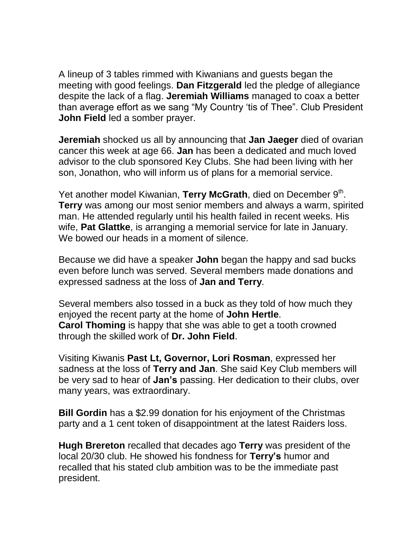A lineup of 3 tables rimmed with Kiwanians and guests began the meeting with good feelings. **Dan Fitzgerald** led the pledge of allegiance despite the lack of a flag. **Jeremiah Williams** managed to coax a better than average effort as we sang "My Country 'tis of Thee". Club President **John Field** led a somber prayer.

**Jeremiah** shocked us all by announcing that **Jan Jaeger** died of ovarian cancer this week at age 66. **Jan** has been a dedicated and much loved advisor to the club sponsored Key Clubs. She had been living with her son, Jonathon, who will inform us of plans for a memorial service.

Yet another model Kiwanian, Terry McGrath, died on December 9<sup>th</sup>. **Terry** was among our most senior members and always a warm, spirited man. He attended regularly until his health failed in recent weeks. His wife, **Pat Glattke**, is arranging a memorial service for late in January. We bowed our heads in a moment of silence.

Because we did have a speaker **John** began the happy and sad bucks even before lunch was served. Several members made donations and expressed sadness at the loss of **Jan and Terry**.

Several members also tossed in a buck as they told of how much they enjoyed the recent party at the home of **John Hertle**. **Carol Thoming** is happy that she was able to get a tooth crowned through the skilled work of **Dr. John Field**.

Visiting Kiwanis **Past Lt, Governor, Lori Rosman**, expressed her sadness at the loss of **Terry and Jan**. She said Key Club members will be very sad to hear of **Jan's** passing. Her dedication to their clubs, over many years, was extraordinary.

**Bill Gordin** has a \$2.99 donation for his enjoyment of the Christmas party and a 1 cent token of disappointment at the latest Raiders loss.

**Hugh Brereton** recalled that decades ago **Terry** was president of the local 20/30 club. He showed his fondness for **Terry's** humor and recalled that his stated club ambition was to be the immediate past president.